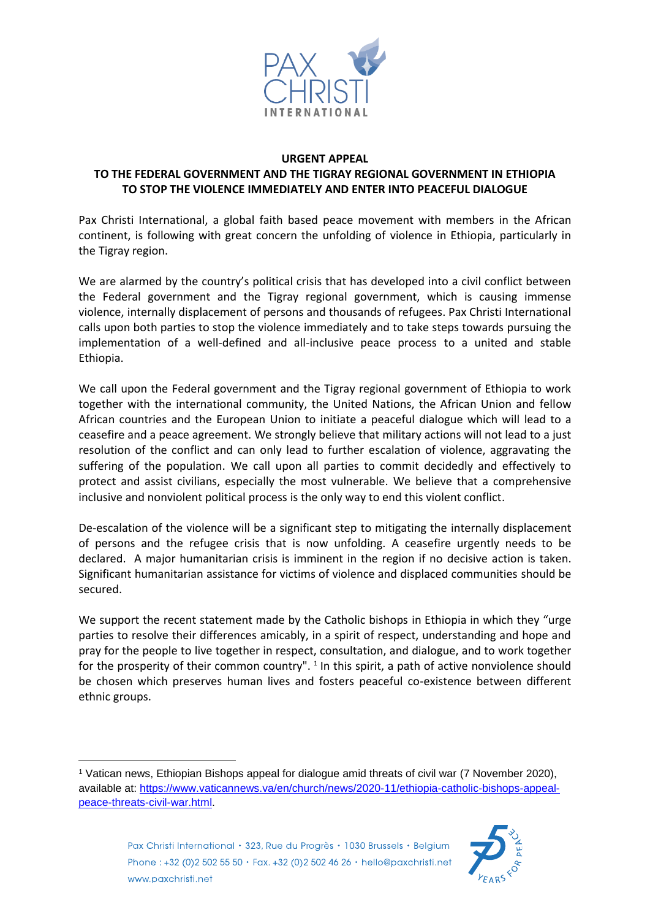

## **URGENT APPEAL**

## **TO THE FEDERAL GOVERNMENT AND THE TIGRAY REGIONAL GOVERNMENT IN ETHIOPIA TO STOP THE VIOLENCE IMMEDIATELY AND ENTER INTO PEACEFUL DIALOGUE**

Pax Christi International, a global faith based peace movement with members in the African continent, is following with great concern the unfolding of violence in Ethiopia, particularly in the Tigray region.

We are alarmed by the country's political crisis that has developed into a civil conflict between the Federal government and the Tigray regional government, which is causing immense violence, internally displacement of persons and thousands of refugees. Pax Christi International calls upon both parties to stop the violence immediately and to take steps towards pursuing the implementation of a well-defined and all-inclusive peace process to a united and stable Ethiopia.

We call upon the Federal government and the Tigray regional government of Ethiopia to work together with the international community, the United Nations, the African Union and fellow African countries and the European Union to initiate a peaceful dialogue which will lead to a ceasefire and a peace agreement. We strongly believe that military actions will not lead to a just resolution of the conflict and can only lead to further escalation of violence, aggravating the suffering of the population. We call upon all parties to commit decidedly and effectively to protect and assist civilians, especially the most vulnerable. We believe that a comprehensive inclusive and nonviolent political process is the only way to end this violent conflict.

De-escalation of the violence will be a significant step to mitigating the internally displacement of persons and the refugee crisis that is now unfolding. A ceasefire urgently needs to be declared. A major humanitarian crisis is imminent in the region if no decisive action is taken. Significant humanitarian assistance for victims of violence and displaced communities should be secured.

We support the recent statement made by the Catholic bishops in Ethiopia in which they "urge parties to resolve their differences amicably, in a spirit of respect, understanding and hope and pray for the people to live together in respect, consultation, and dialogue, and to work together for the prosperity of their common country".  $1$  In this spirit, a path of active nonviolence should be chosen which preserves human lives and fosters peaceful co-existence between different ethnic groups.

<sup>-</sup><sup>1</sup> Vatican news, Ethiopian Bishops appeal for dialogue amid threats of civil war (7 November 2020), available at: [https://www.vaticannews.va/en/church/news/2020-11/ethiopia-catholic-bishops-appeal](https://www.vaticannews.va/en/church/news/2020-11/ethiopia-catholic-bishops-appeal-peace-threats-civil-war.html)[peace-threats-civil-war.html.](https://www.vaticannews.va/en/church/news/2020-11/ethiopia-catholic-bishops-appeal-peace-threats-civil-war.html)



Pax Christi International · 323, Rue du Progrès · 1030 Brussels · Belgium Phone: +32 (0)2 502 55 50 · Fax. +32 (0)2 502 46 26 · hello@paxchristi.net www.paxchristi.net